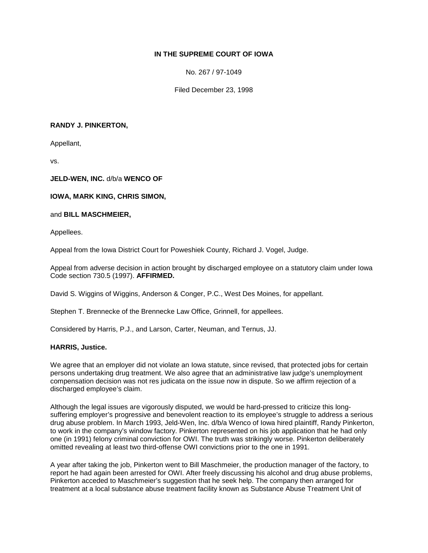# **IN THE SUPREME COURT OF IOWA**

No. 267 / 97-1049

Filed December 23, 1998

### **RANDY J. PINKERTON,**

Appellant,

vs.

#### **JELD-WEN, INC.** d/b/a **WENCO OF**

#### **IOWA, MARK KING, CHRIS SIMON,**

#### and **BILL MASCHMEIER,**

Appellees.

Appeal from the Iowa District Court for Poweshiek County, Richard J. Vogel, Judge.

Appeal from adverse decision in action brought by discharged employee on a statutory claim under Iowa Code section 730.5 (1997). **AFFIRMED.**

David S. Wiggins of Wiggins, Anderson & Conger, P.C., West Des Moines, for appellant.

Stephen T. Brennecke of the Brennecke Law Office, Grinnell, for appellees.

Considered by Harris, P.J., and Larson, Carter, Neuman, and Ternus, JJ.

#### **HARRIS, Justice.**

We agree that an employer did not violate an Iowa statute, since revised, that protected jobs for certain persons undertaking drug treatment. We also agree that an administrative law judge's unemployment compensation decision was not res judicata on the issue now in dispute. So we affirm rejection of a discharged employee's claim.

Although the legal issues are vigorously disputed, we would be hard-pressed to criticize this longsuffering employer's progressive and benevolent reaction to its employee's struggle to address a serious drug abuse problem. In March 1993, Jeld-Wen, Inc. d/b/a Wenco of Iowa hired plaintiff, Randy Pinkerton, to work in the company's window factory. Pinkerton represented on his job application that he had only one (in 1991) felony criminal conviction for OWI. The truth was strikingly worse. Pinkerton deliberately omitted revealing at least two third-offense OWI convictions prior to the one in 1991.

A year after taking the job, Pinkerton went to Bill Maschmeier, the production manager of the factory, to report he had again been arrested for OWI. After freely discussing his alcohol and drug abuse problems, Pinkerton acceded to Maschmeier's suggestion that he seek help. The company then arranged for treatment at a local substance abuse treatment facility known as Substance Abuse Treatment Unit of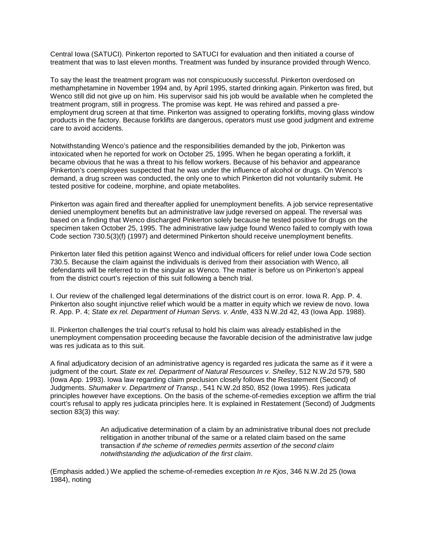Central Iowa (SATUCI). Pinkerton reported to SATUCI for evaluation and then initiated a course of treatment that was to last eleven months. Treatment was funded by insurance provided through Wenco.

To say the least the treatment program was not conspicuously successful. Pinkerton overdosed on methamphetamine in November 1994 and, by April 1995, started drinking again. Pinkerton was fired, but Wenco still did not give up on him. His supervisor said his job would be available when he completed the treatment program, still in progress. The promise was kept. He was rehired and passed a preemployment drug screen at that time. Pinkerton was assigned to operating forklifts, moving glass window products in the factory. Because forklifts are dangerous, operators must use good judgment and extreme care to avoid accidents.

Notwithstanding Wenco's patience and the responsibilities demanded by the job, Pinkerton was intoxicated when he reported for work on October 25, 1995. When he began operating a forklift, it became obvious that he was a threat to his fellow workers. Because of his behavior and appearance Pinkerton's coemployees suspected that he was under the influence of alcohol or drugs. On Wenco's demand, a drug screen was conducted, the only one to which Pinkerton did not voluntarily submit. He tested positive for codeine, morphine, and opiate metabolites.

Pinkerton was again fired and thereafter applied for unemployment benefits. A job service representative denied unemployment benefits but an administrative law judge reversed on appeal. The reversal was based on a finding that Wenco discharged Pinkerton solely because he tested positive for drugs on the specimen taken October 25, 1995. The administrative law judge found Wenco failed to comply with Iowa Code section 730.5(3)(f) (1997) and determined Pinkerton should receive unemployment benefits.

Pinkerton later filed this petition against Wenco and individual officers for relief under Iowa Code section 730.5. Because the claim against the individuals is derived from their association with Wenco, all defendants will be referred to in the singular as Wenco. The matter is before us on Pinkerton's appeal from the district court's rejection of this suit following a bench trial.

I. Our review of the challenged legal determinations of the district court is on error. Iowa R. App. P. 4. Pinkerton also sought injunctive relief which would be a matter in equity which we review de novo. Iowa R. App. P. 4; *State ex rel. Department of Human Servs. v. Antle*, 433 N.W.2d 42, 43 (Iowa App. 1988).

II. Pinkerton challenges the trial court's refusal to hold his claim was already established in the unemployment compensation proceeding because the favorable decision of the administrative law judge was res judicata as to this suit.

A final adjudicatory decision of an administrative agency is regarded res judicata the same as if it were a judgment of the court. *State ex rel. Department of Natural Resources v. Shelley*, 512 N.W.2d 579, 580 (Iowa App. 1993). Iowa law regarding claim preclusion closely follows the Restatement (Second) of Judgments. *Shumaker v. Department of Transp.*, 541 N.W.2d 850, 852 (Iowa 1995). Res judicata principles however have exceptions. On the basis of the scheme-of-remedies exception we affirm the trial court's refusal to apply res judicata principles here. It is explained in Restatement (Second) of Judgments section 83(3) this way:

> An adjudicative determination of a claim by an administrative tribunal does not preclude relitigation in another tribunal of the same or a related claim based on the same transaction *if the scheme of remedies permits assertion of the second claim notwithstanding the adjudication of the first claim*.

(Emphasis added.) We applied the scheme-of-remedies exception *In re Kjos*, 346 N.W.2d 25 (Iowa 1984), noting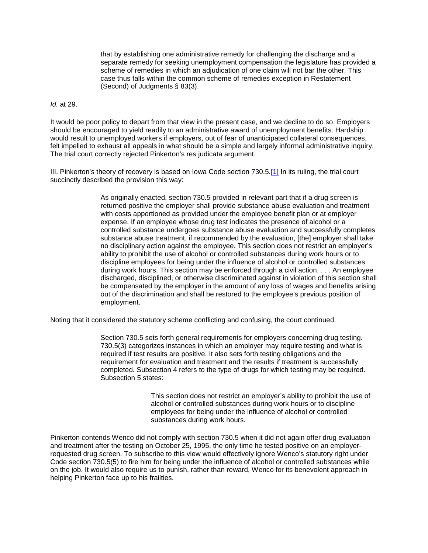that by establishing one administrative remedy for challenging the discharge and a separate remedy for seeking unemployment compensation the legislature has provided a scheme of remedies in which an adjudication of one claim will not bar the other. This case thus falls within the common scheme of remedies exception in Restatement (Second) of Judgments § 83(3).

#### *Id.* at 29.

It would be poor policy to depart from that view in the present case, and we decline to do so. Employers should be encouraged to yield readily to an administrative award of unemployment benefits. Hardship would result to unemployed workers if employers, out of fear of unanticipated collateral consequences, felt impelled to exhaust all appeals in what should be a simple and largely informal administrative inquiry. The trial court correctly rejected Pinkerton's res judicata argument.

III. Pinkerton's theory of recovery is based on Iowa Code section 730.5[.\[1\]](http://www.iowacourts.gov/About_the_Courts/Supreme_Court/Supreme_Court_Opinions/Recent_Opinions/19981223/97-1049.asp?Printable=true#fn1) In its ruling, the trial court succinctly described the provision this way:

> As originally enacted, section 730.5 provided in relevant part that if a drug screen is returned positive the employer shall provide substance abuse evaluation and treatment with costs apportioned as provided under the employee benefit plan or at employer expense. If an employee whose drug test indicates the presence of alcohol or a controlled substance undergoes substance abuse evaluation and successfully completes substance abuse treatment, if recommended by the evaluation, [the] employer shall take no disciplinary action against the employee. This section does not restrict an employer's ability to prohibit the use of alcohol or controlled substances during work hours or to discipline employees for being under the influence of alcohol or controlled substances during work hours. This section may be enforced through a civil action. . . . An employee discharged, disciplined, or otherwise discriminated against in violation of this section shall be compensated by the employer in the amount of any loss of wages and benefits arising out of the discrimination and shall be restored to the employee's previous position of employment.

Noting that it considered the statutory scheme conflicting and confusing, the court continued.

Section 730.5 sets forth general requirements for employers concerning drug testing. 730.5(3) categorizes instances in which an employer may require testing and what is required if test results are positive. It also sets forth testing obligations and the requirement for evaluation and treatment and the results if treatment is successfully completed. Subsection 4 refers to the type of drugs for which testing may be required. Subsection 5 states:

> This section does not restrict an employer's ability to prohibit the use of alcohol or controlled substances during work hours or to discipline employees for being under the influence of alcohol or controlled substances during work hours.

Pinkerton contends Wenco did not comply with section 730.5 when it did not again offer drug evaluation and treatment after the testing on October 25, 1995, the only time he tested positive on an employerrequested drug screen. To subscribe to this view would effectively ignore Wenco's statutory right under Code section 730.5(5) to fire him for being under the influence of alcohol or controlled substances while on the job. It would also require us to punish, rather than reward, Wenco for its benevolent approach in helping Pinkerton face up to his frailties.